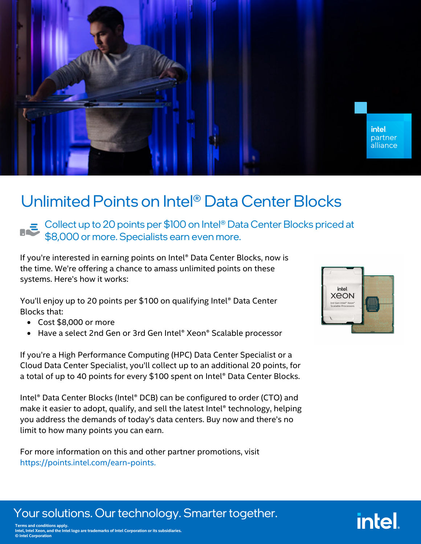

## Unlimited Points on Intel® Data Center Blocks

Collect up to 20 points per \$100 on Intel® Data Center Blocks priced at \$8,000 or more. Specialists earn even more.

If you're interested in earning points on Intel® Data Center Blocks, now is the time. We're offering a chance to amass unlimited points on these systems. Here's how it works:

You'll enjoy up to 20 points per \$100 on qualifying Intel® Data Center Blocks that:

- Cost \$8,000 or more
- Have a select 2nd Gen or 3rd Gen Intel® Xeon® Scalable processor

If you're a High Performance Computing (HPC) Data Center Specialist or a Cloud Data Center Specialist, you'll collect up to an additional 20 points, for a total of up to 40 points for every \$100 spent on Intel® Data Center Blocks.

Intel® Data Center Blocks (Intel® DCB) can be configured to order (CTO) and make it easier to adopt, qualify, and sell the latest Intel® technology, helping you address the demands of today's data centers. Buy now and there's no limit to how many points you can earn.

For more information on this and other partner promotions, visit [https://points.intel.com/earn-points.](ttps://points.intel.com/earn-points)



intel

## Your solutions. Our technology. Smarter together.

**Terms and conditions apply. Intel, Intel Xeon, and the Intel logo are trademarks of Intel Corporation or its subsidiaries. © Intel Corporation**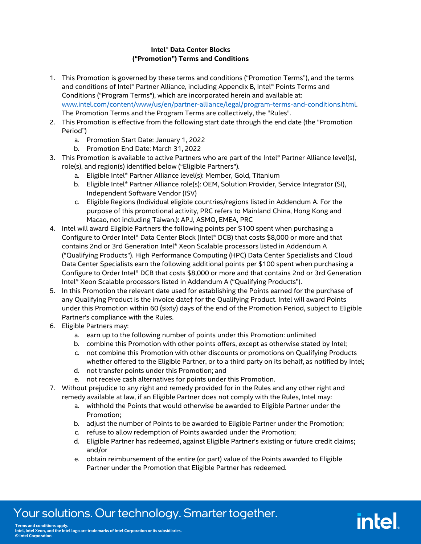#### **Intel® Data Center Blocks ("Promotion") Terms and Conditions**

- 1. This Promotion is governed by these terms and conditions ("Promotion Terms"), and the terms and conditions of Intel® Partner Alliance, including Appendix B, Intel® Points Terms and Conditions ("Program Terms"), which are incorporated herein and available at: <www.intel.com/content/www/us/en/partner-alliance/legal/program-terms-and-conditions.html.> The Promotion Terms and the Program Terms are collectively, the "Rules".
- 2. This Promotion is effective from the following start date through the end date (the "Promotion Period")
	- a. Promotion Start Date: January 1, 2022
	- b. Promotion End Date: March 31, 2022
- 3. This Promotion is available to active Partners who are part of the Intel® Partner Alliance level(s), role(s), and region(s) identified below ("Eligible Partners").
	- a. Eligible Intel® Partner Alliance level(s): Member, Gold, Titanium
	- b. Eligible Intel® Partner Alliance role(s): OEM, Solution Provider, Service Integrator (SI), Independent Software Vendor (ISV)
	- c. Eligible Regions (Individual eligible countries/regions listed in Addendum A. For the purpose of this promotional activity, PRC refers to Mainland China, Hong Kong and Macao, not including Taiwan.): APJ, ASMO, EMEA, PRC
- 4. Intel will award Eligible Partners the following points per \$100 spent when purchasing a Configure to Order Intel® Data Center Block (Intel® DCB) that costs \$8,000 or more and that contains 2nd or 3rd Generation Intel® Xeon Scalable processors listed in Addendum A ("Qualifying Products"). High Performance Computing (HPC) Data Center Specialists and Cloud Data Center Specialists earn the following additional points per \$100 spent when purchasing a Configure to Order Intel® DCB that costs \$8,000 or more and that contains 2nd or 3rd Generation Intel® Xeon Scalable processors listed in Addendum A ("Qualifying Products").
- 5. In this Promotion the relevant date used for establishing the Points earned for the purchase of any Qualifying Product is the invoice date‡ for the Qualifying Product. Intel will award Points under this Promotion within 60 (sixty) days of the end of the Promotion Period, subject to Eligible Partner's compliance with the Rules.
- 6. Eligible Partners may:
	- a. earn up to the following number of points under this Promotion: unlimited
	- b. combine this Promotion with other points offers, except as otherwise stated by Intel;
	- c. not combine this Promotion with other discounts or promotions on Qualifying Products whether offered to the Eligible Partner, or to a third party on its behalf, as notified by Intel;
	- d. not transfer points under this Promotion; and
	- e. not receive cash alternatives for points under this Promotion.
- 7. Without prejudice to any right and remedy provided for in the Rules and any other right and remedy available at law, if an Eligible Partner does not comply with the Rules, Intel may:
	- a. withhold the Points that would otherwise be awarded to Eligible Partner under the Promotion;
	- b. adjust the number of Points to be awarded to Eligible Partner under the Promotion;
	- c. refuse to allow redemption of Points awarded under the Promotion;
	- d. Eligible Partner has redeemed, against Eligible Partner's existing or future credit claims; and/or

intel

e. obtain reimbursement of the entire (or part) value of the Points awarded to Eligible Partner under the Promotion that Eligible Partner has redeemed.

## Your solutions. Our technology. Smarter together.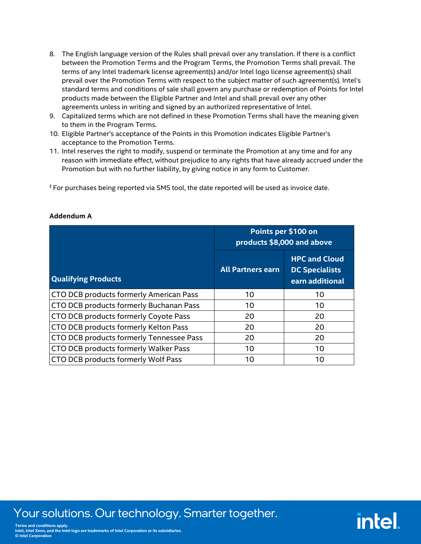- 8. The English language version of the Rules shall prevail over any translation. If there is a conflict between the Promotion Terms and the Program Terms, the Promotion Terms shall prevail. The terms of any Intel trademark license agreement(s) and/or Intel logo license agreement(s) shall prevail over the Promotion Terms with respect to the subject matter of such agreement(s). Intel's standard terms and conditions of sale shall govern any purchase or redemption of Points for Intel products made between the Eligible Partner and Intel and shall prevail over any other agreements unless in writing and signed by an authorized representative of Intel.
- 9. Capitalized terms which are not defined in these Promotion Terms shall have the meaning given to them in the Program Terms.
- 10. Eligible Partner's acceptance of the Points in this Promotion indicates Eligible Partner's acceptance to the Promotion Terms.
- 11. Intel reserves the right to modify, suspend or terminate the Promotion at any time and for any reason with immediate effect, without prejudice to any rights that have already accrued under the Promotion but with no further liability, by giving notice in any form to Customer.

‡ For purchases being reported via SMS tool, the date reported will be used as invoice date.

|                                          | Points per \$100 on<br>products \$8,000 and above |                                                                  |  |
|------------------------------------------|---------------------------------------------------|------------------------------------------------------------------|--|
| <b>Qualifying Products</b>               | <b>All Partners earn</b>                          | <b>HPC and Cloud</b><br><b>DC Specialists</b><br>earn additional |  |
| CTO DCB products formerly American Pass  | 10                                                | 10                                                               |  |
| CTO DCB products formerly Buchanan Pass  | 10                                                | 10                                                               |  |
| CTO DCB products formerly Coyote Pass    | 20                                                | 20                                                               |  |
| CTO DCB products formerly Kelton Pass    | 20                                                | 20                                                               |  |
| CTO DCB products formerly Tennessee Pass | 20                                                | 20                                                               |  |
| CTO DCB products formerly Walker Pass    | 10                                                | 10                                                               |  |
| CTO DCB products formerly Wolf Pass      | 10                                                | 10                                                               |  |

**intel** 

#### **Addendum A**

### Your solutions. Our technology. Smarter together.